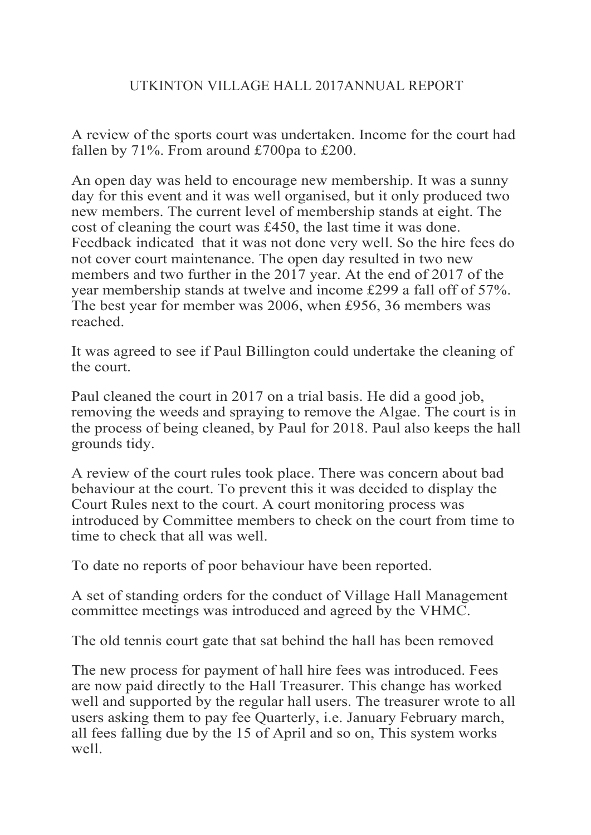A review of the sports court was undertaken. Income for the court had fallen by 71%. From around £700pa to £200.

An open day was held to encourage new membership. It was a sunny day for this event and it was well organised, but it only produced two new members. The current level of membership stands at eight. The cost of cleaning the court was £450, the last time it was done. Feedback indicated that it was not done very well. So the hire fees do not cover court maintenance. The open day resulted in two new members and two further in the 2017 year. At the end of 2017 of the year membership stands at twelve and income £299 a fall off of 57%. The best year for member was 2006, when £956, 36 members was reached.

It was agreed to see if Paul Billington could undertake the cleaning of the court.

Paul cleaned the court in 2017 on a trial basis. He did a good job, removing the weeds and spraying to remove the Algae. The court is in the process of being cleaned, by Paul for 2018. Paul also keeps the hall grounds tidy.

A review of the court rules took place. There was concern about bad behaviour at the court. To prevent this it was decided to display the Court Rules next to the court. A court monitoring process was introduced by Committee members to check on the court from time to time to check that all was well.

To date no reports of poor behaviour have been reported.

A set of standing orders for the conduct of Village Hall Management committee meetings was introduced and agreed by the VHMC.

The old tennis court gate that sat behind the hall has been removed

The new process for payment of hall hire fees was introduced. Fees are now paid directly to the Hall Treasurer. This change has worked well and supported by the regular hall users. The treasurer wrote to all users asking them to pay fee Quarterly, i.e. January February march, all fees falling due by the 15 of April and so on, This system works well.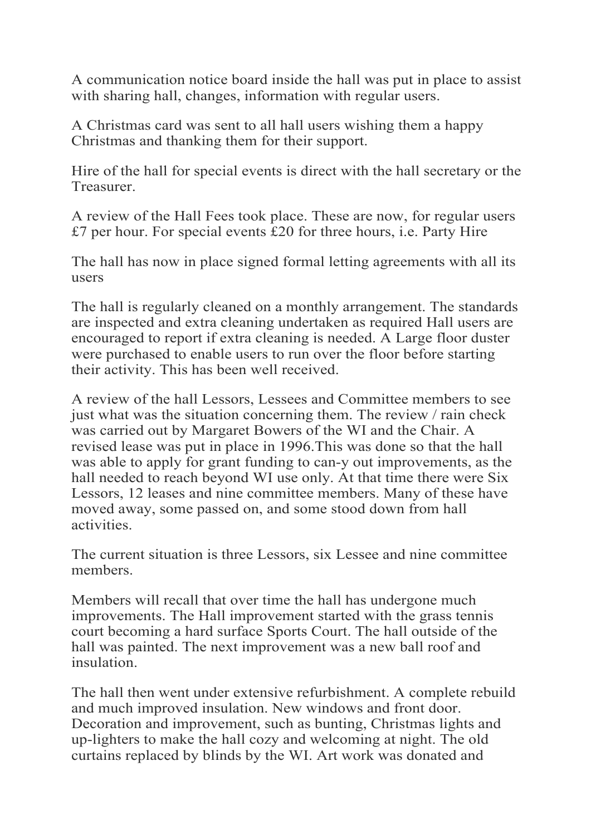A communication notice board inside the hall was put in place to assist with sharing hall, changes, information with regular users.

A Christmas card was sent to all hall users wishing them a happy Christmas and thanking them for their support.

Hire of the hall for special events is direct with the hall secretary or the **Treasurer.** 

A review of the Hall Fees took place. These are now, for regular users £7 per hour. For special events £20 for three hours, i.e. Party Hire

The hall has now in place signed formal letting agreements with all its users

The hall is regularly cleaned on a monthly arrangement. The standards are inspected and extra cleaning undertaken as required Hall users are encouraged to report if extra cleaning is needed. A Large floor duster were purchased to enable users to run over the floor before starting their activity. This has been well received.

A review of the hall Lessors, Lessees and Committee members to see just what was the situation concerning them. The review / rain check was carried out by Margaret Bowers of the WI and the Chair. A revised lease was put in place in 1996.This was done so that the hall was able to apply for grant funding to can-y out improvements, as the hall needed to reach beyond WI use only. At that time there were Six Lessors, 12 leases and nine committee members. Many of these have moved away, some passed on, and some stood down from hall activities.

The current situation is three Lessors, six Lessee and nine committee members.

Members will recall that over time the hall has undergone much improvements. The Hall improvement started with the grass tennis court becoming a hard surface Sports Court. The hall outside of the hall was painted. The next improvement was a new ball roof and insulation.

The hall then went under extensive refurbishment. A complete rebuild and much improved insulation. New windows and front door. Decoration and improvement, such as bunting, Christmas lights and up-lighters to make the hall cozy and welcoming at night. The old curtains replaced by blinds by the WI. Art work was donated and